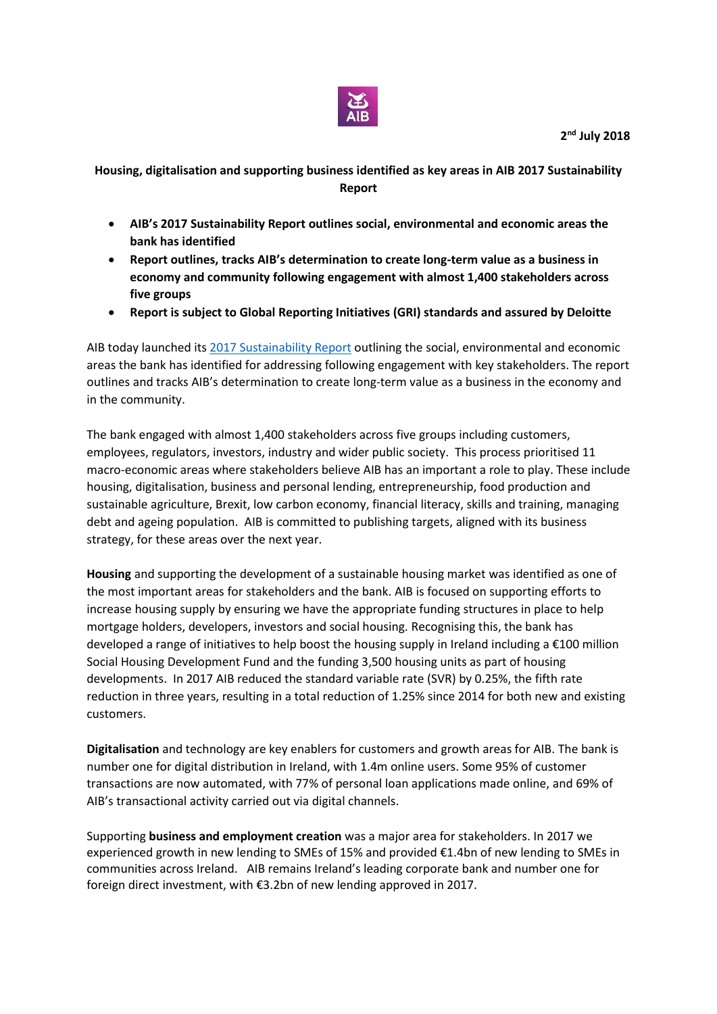

## **Housing, digitalisation and supporting business identified as key areas in AIB 2017 Sustainability Report**

- **AIB's 2017 Sustainability Report outlines social, environmental and economic areas the bank has identified**
- **Report outlines, tracks AIB's determination to create long-term value as a business in economy and community following engagement with almost 1,400 stakeholders across five groups**
- **Report is subject to Global Reporting Initiatives (GRI) standards and assured by Deloitte**

AIB today launched its [2017 Sustainability Report](https://aib.ie/sustainability) outlining the social, environmental and economic areas the bank has identified for addressing following engagement with key stakeholders. The report outlines and tracks AIB's determination to create long-term value as a business in the economy and in the community.

The bank engaged with almost 1,400 stakeholders across five groups including customers, employees, regulators, investors, industry and wider public society. This process prioritised 11 macro-economic areas where stakeholders believe AIB has an important a role to play. These include housing, digitalisation, business and personal lending, entrepreneurship, food production and sustainable agriculture, Brexit, low carbon economy, financial literacy, skills and training, managing debt and ageing population. AIB is committed to publishing targets, aligned with its business strategy, for these areas over the next year.

**Housing** and supporting the development of a sustainable housing market was identified as one of the most important areas for stakeholders and the bank. AIB is focused on supporting efforts to increase housing supply by ensuring we have the appropriate funding structures in place to help mortgage holders, developers, investors and social housing. Recognising this, the bank has developed a range of initiatives to help boost the housing supply in Ireland including a €100 million Social Housing Development Fund and the funding 3,500 housing units as part of housing developments. In 2017 AIB reduced the standard variable rate (SVR) by 0.25%, the fifth rate reduction in three years, resulting in a total reduction of 1.25% since 2014 for both new and existing customers.

**Digitalisation** and technology are key enablers for customers and growth areas for AIB. The bank is number one for digital distribution in Ireland, with 1.4m online users. Some 95% of customer transactions are now automated, with 77% of personal loan applications made online, and 69% of AIB's transactional activity carried out via digital channels.

Supporting **business and employment creation** was a major area for stakeholders. In 2017 we experienced growth in new lending to SMEs of 15% and provided €1.4bn of new lending to SMEs in communities across Ireland. AIB remains Ireland's leading corporate bank and number one for foreign direct investment, with €3.2bn of new lending approved in 2017.